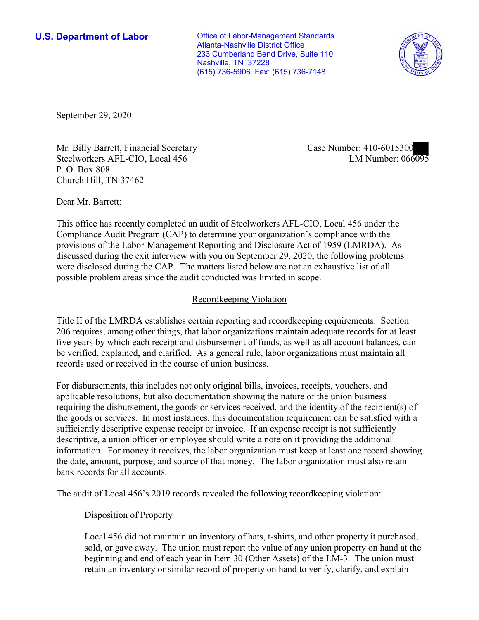**U.S. Department of Labor Conservative Conservative Conservative Conservative U.S.** Department of Labor Atlanta-Nashville District Office 233 Cumberland Bend Drive, Suite 110 Nashville, TN 37228 (615) 736-5906 Fax: (615) 736-7148



September 29, 2020

Mr. Billy Barrett, Financial Secretary Case Number: 410-6015300<br>Steelworkers AFL-CIO, Local 456 [M] LM Number: 066095 Steelworkers AFL-CIO, Local 456 LM Number: 066095 P. O. Box 808 Church Hill, TN 37462

Dear Mr. Barrett:

 This office has recently completed an audit of Steelworkers AFL-CIO, Local 456 under the Compliance Audit Program (CAP) to determine your organization's compliance with the provisions of the Labor-Management Reporting and Disclosure Act of 1959 (LMRDA). As discussed during the exit interview with you on September 29, 2020, the following problems were disclosed during the CAP. The matters listed below are not an exhaustive list of all possible problem areas since the audit conducted was limited in scope.

## Recordkeeping Violation

 Title II of the LMRDA establishes certain reporting and recordkeeping requirements. Section 206 requires, among other things, that labor organizations maintain adequate records for at least be verified, explained, and clarified. As a general rule, labor organizations must maintain all five years by which each receipt and disbursement of funds, as well as all account balances, can records used or received in the course of union business.

For disbursements, this includes not only original bills, invoices, receipts, vouchers, and applicable resolutions, but also documentation showing the nature of the union business requiring the disbursement, the goods or services received, and the identity of the recipient(s) of the goods or services. In most instances, this documentation requirement can be satisfied with a sufficiently descriptive expense receipt or invoice. If an expense receipt is not sufficiently descriptive, a union officer or employee should write a note on it providing the additional information. For money it receives, the labor organization must keep at least one record showing the date, amount, purpose, and source of that money. The labor organization must also retain bank records for all accounts.

The audit of Local 456's 2019 records revealed the following recordkeeping violation:

Disposition of Property

Local 456 did not maintain an inventory of hats, t-shirts, and other property it purchased, sold, or gave away. The union must report the value of any union property on hand at the beginning and end of each year in Item 30 (Other Assets) of the LM-3. The union must retain an inventory or similar record of property on hand to verify, clarify, and explain